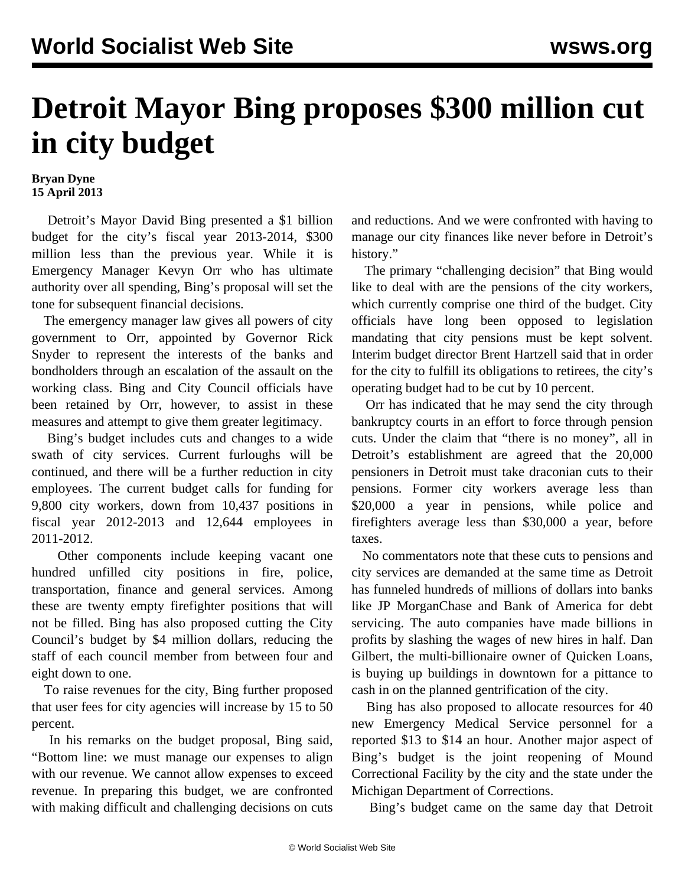## **Detroit Mayor Bing proposes \$300 million cut in city budget**

## **Bryan Dyne 15 April 2013**

 Detroit's Mayor David Bing presented a \$1 billion budget for the city's fiscal year 2013-2014, \$300 million less than the previous year. While it is Emergency Manager Kevyn Orr who has ultimate authority over all spending, Bing's proposal will set the tone for subsequent financial decisions.

 The emergency manager law gives all powers of city government to Orr, appointed by Governor Rick Snyder to represent the interests of the banks and bondholders through an escalation of the assault on the working class. Bing and City Council officials have been retained by Orr, however, to assist in these measures and attempt to give them greater legitimacy.

 Bing's budget includes cuts and changes to a wide swath of city services. Current furloughs will be continued, and there will be a further reduction in city employees. The current budget calls for funding for 9,800 city workers, down from 10,437 positions in fiscal year 2012-2013 and 12,644 employees in 2011-2012.

 Other components include keeping vacant one hundred unfilled city positions in fire, police, transportation, finance and general services. Among these are twenty empty firefighter positions that will not be filled. Bing has also proposed cutting the City Council's budget by \$4 million dollars, reducing the staff of each council member from between four and eight down to one.

 To raise revenues for the city, Bing further proposed that user fees for city agencies will increase by 15 to 50 percent.

 In his remarks on the budget proposal, Bing said, "Bottom line: we must manage our expenses to align with our revenue. We cannot allow expenses to exceed revenue. In preparing this budget, we are confronted with making difficult and challenging decisions on cuts and reductions. And we were confronted with having to manage our city finances like never before in Detroit's history."

 The primary "challenging decision" that Bing would like to deal with are the pensions of the city workers, which currently comprise one third of the budget. City officials have long been opposed to legislation mandating that city pensions must be kept solvent. Interim budget director Brent Hartzell said that in order for the city to fulfill its obligations to retirees, the city's operating budget had to be cut by 10 percent.

 Orr has indicated that he may send the city through bankruptcy courts in an effort to force through pension cuts. Under the claim that "there is no money", all in Detroit's establishment are agreed that the 20,000 pensioners in Detroit must take draconian cuts to their pensions. Former city workers average less than \$20,000 a year in pensions, while police and firefighters average less than \$30,000 a year, before taxes.

 No commentators note that these cuts to pensions and city services are demanded at the same time as Detroit has funneled hundreds of millions of dollars into banks like JP MorganChase and Bank of America for debt servicing. The auto companies have made billions in profits by slashing the wages of new hires in half. Dan Gilbert, the multi-billionaire owner of Quicken Loans, is buying up buildings in downtown for a pittance to cash in on the planned gentrification of the city.

 Bing has also proposed to allocate resources for 40 new Emergency Medical Service personnel for a reported \$13 to \$14 an hour. Another major aspect of Bing's budget is the joint reopening of Mound Correctional Facility by the city and the state under the Michigan Department of Corrections.

Bing's budget came on the same day that Detroit